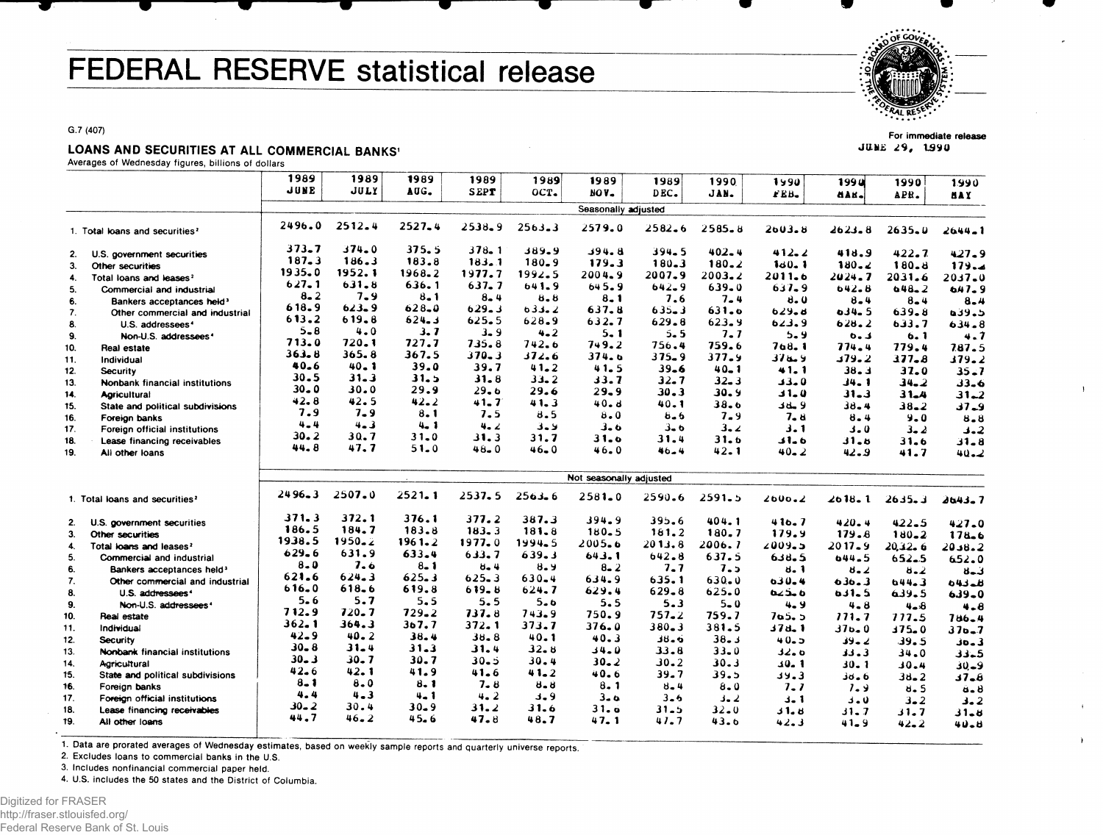## FEDERAL RESERVE statistical release



**For immediate release** JUNE 29, 1990

 $\mathbf{A}$ 

 $\mathbf{r}$ 

G.7 (407)

## LOANS AND SECURITIES AT ALL COMMERCIAL BANKS<sup>1</sup>

Averages of Wednesday figures, billions of dollars

| 1989<br>1989<br>1990<br>199 U<br>1990<br>1990<br>1990<br>JUNE<br>JULY<br>AUG.<br><b>SEPT</b><br>OCT.<br>NOV-<br>DEC.<br>JAN.<br>IEB.<br>dan.<br>APR.<br>MA Y<br>Seasonally adjusted<br>2496.0<br>2512.4<br>$2527 - 4$<br>2538.9<br>$2563 - 3$<br>2579.0<br>$2582 - 6$<br>2585.8<br>2003.8<br>$2623 - 8$<br>2635.0<br>2644_1<br>1. Total loans and securities <sup>2</sup><br>373.7<br>$374 - 0$<br>375.5<br>$378 - 1$<br>389.9<br>394.8<br>$394 - 5$<br>$402 - 4$<br>412.2<br>$422 - 7$<br>418.9<br>$427 - 9$<br>U.S. government securities<br>2.<br>187.3<br>186.3<br>183.8<br>183.1<br>$180 - 9$<br>179.3<br>$180 - 3$<br>$180 - 2$<br>1 <sub>d</sub> 0 <sub>z</sub> 1<br>180.8<br>180.2<br>179.4<br>Other securities<br>3.<br>1935.0<br>1952.1<br>1968.2<br>1977.7<br>1992.5<br>2004.9<br>2007.9<br>2003.2<br>2011.6<br>2024.7<br>2031.6<br>$2037 - 0$<br>Total loans and leases <sup>2</sup><br>4.<br>627.1<br>631.8<br>636.1<br>637.7<br>641.9<br>645.9<br>$642 - 9$<br>$639 - 0$<br>$637 - 9$<br>642.8<br>$648 - 2$<br>647.9<br>5.<br>Commercial and industrial<br>$8 - 2$<br>7.9<br>$8 - 1$<br>$8 - 4$<br>$8 - 8$<br>$8 - 1$<br>7.6<br>$7 - 4$<br>8.0<br>$8 - 4$<br>$8 - 4$<br>6.<br>$8 - 4$<br>Bankers acceptances held <sup>3</sup><br>618.9<br>$623 - 9$<br>628.0<br>629.3<br>033.2<br>637.8<br>$635 - 3$<br>631.0<br>629.8<br>$0.34 - 5$<br>639.8<br>د. وده<br>7.<br>Other commercial and industrial<br>613.2<br>619.8<br>624.3<br>625.5<br>628.9<br>632.7<br>629.8<br>623.9<br>623.9<br>628.2<br>633.7<br>8.<br>$634 - 8$<br>U.S. addressees <sup>4</sup><br>$5 - 8$<br>$4 - 0$<br>3.7<br>$3 - 9$<br>$4 - 2$<br>$5 - 1$<br>$5 - 5$<br>7.7<br>$5 - 9$<br>د ـه<br>6.1<br>4.7<br>9.<br>Non-U.S. addressees <sup>4</sup><br>713.0<br>720.1<br>727.7<br>735.8<br>742.6<br>749.2<br>756.4<br>759.6<br>768. 1<br>774.4<br>779.4<br>787.5<br>10.<br>Real estate<br>363.8<br>365.8<br>367.5<br>$370 - 3$<br>372.6<br>374.6<br>$375 - 9$<br>377.9<br>376.9<br>379.2<br>$377 - 8$<br>179.2<br>Individual<br>11.<br>40.6<br>$40 - 1$<br>39.0<br>39.7<br>$41 - 2$<br>41.5<br>$39 - 6$<br>$40 - 1$<br>41.1<br>38.3<br>37.0<br>$35 - 7$<br>12.<br><b>Security</b><br>30.5<br>$31 - 3$<br>31.5<br>$31 - 8$<br>$33 - 2$<br>33.7<br>$32 - 7$<br>$32 - 3$<br>33.0<br>J4. 1<br>$34 - 2$<br>13.<br>33.6<br>Nonbank financial institutions<br>$30 - 0$<br>30.0<br>29.9<br>29.6<br>29.6<br>$29 - 9$<br>$30 - 3$<br>30. 9<br>31.0<br>$31 - 3$<br>$31 - 4$<br>14.<br>$31 - 2$<br><b>Agricultural</b><br>42.8<br>42.5<br>42.2<br>41.7<br>41.3<br>40.8<br>40.1<br>38.6<br>9 ملاك<br>$38 - 4$<br>15.<br>$38 - 2$<br>$37 - 9$<br>State and political subdivisions<br>7.9<br>$7 - 9$<br>8.1<br>7.5<br>8.5<br>8.0<br>$6 - 6$<br>7.9<br>7.8<br>$8 - 4$<br>$9 - 0$<br>16.<br>$8 - 8$<br>Foreion banks<br>$4 - 4$<br>$4 - 3$<br>$4 - 1$<br>4.2<br>لاءة<br>3.6<br>3. 6<br>3.2<br>3.1<br>17.<br>$3 - 0$<br>3.2<br>Foreign official institutions<br>$3 - 2$<br>30.2<br>30.7<br>$31 - 0$<br>31.3<br>31.7<br>31.0<br>31.4<br>31.6<br>6 ـ 1 د<br>18.<br>51.5<br>$31 - 6$<br>31.8<br>Lease financing receivables<br>44.8<br>47.7<br>51.0<br>$48 - 0$<br>$46 - 0$<br>46.0<br>46.4<br>42. 1<br>$40 - 2$<br>42.9<br>19.<br>41.7<br>$40 - 2$<br>All other loans<br>Not seasonally adjusted<br>$2496 - 3$<br>2507.0<br>$2521 - 1$<br>$2537 - 5$<br>$2563 - 6$<br>$2581 - 0$<br>2590.6<br>2591.5<br>2000.2<br>$2618 - 1$<br>2635.3<br>1. Total loans and securities <sup>2</sup><br>2643.7<br>371.3<br>372.1<br>376.1<br>377.2<br>387.3<br>394.9<br>395.6<br>404.1<br>416.7<br>$420 - 4$<br>$422 - 5$<br>U.S. government securities<br>427.0<br>2.<br>186.5<br>184.7<br>183.8<br>$183 - 3$<br>$181 - 8$<br>$180 - 5$<br>161.2<br>180.7<br>179.9<br>179.8<br>$180 - 2$<br>3.<br>Other securities<br>$178 - 6$<br>1938.5<br>$1950 - 2$ |
|---------------------------------------------------------------------------------------------------------------------------------------------------------------------------------------------------------------------------------------------------------------------------------------------------------------------------------------------------------------------------------------------------------------------------------------------------------------------------------------------------------------------------------------------------------------------------------------------------------------------------------------------------------------------------------------------------------------------------------------------------------------------------------------------------------------------------------------------------------------------------------------------------------------------------------------------------------------------------------------------------------------------------------------------------------------------------------------------------------------------------------------------------------------------------------------------------------------------------------------------------------------------------------------------------------------------------------------------------------------------------------------------------------------------------------------------------------------------------------------------------------------------------------------------------------------------------------------------------------------------------------------------------------------------------------------------------------------------------------------------------------------------------------------------------------------------------------------------------------------------------------------------------------------------------------------------------------------------------------------------------------------------------------------------------------------------------------------------------------------------------------------------------------------------------------------------------------------------------------------------------------------------------------------------------------------------------------------------------------------------------------------------------------------------------------------------------------------------------------------------------------------------------------------------------------------------------------------------------------------------------------------------------------------------------------------------------------------------------------------------------------------------------------------------------------------------------------------------------------------------------------------------------------------------------------------------------------------------------------------------------------------------------------------------------------------------------------------------------------------------------------------------------------------------------------------------------------------------------------------------------------------------------------------------------------------------------------------------------------------------------------------------------------------------------------------------------------------------------------------------------------------------------------------------------------------------------------------------------------------------------------------------------------------------------------------------------------------------------------------------------------------------------------------------------|
|                                                                                                                                                                                                                                                                                                                                                                                                                                                                                                                                                                                                                                                                                                                                                                                                                                                                                                                                                                                                                                                                                                                                                                                                                                                                                                                                                                                                                                                                                                                                                                                                                                                                                                                                                                                                                                                                                                                                                                                                                                                                                                                                                                                                                                                                                                                                                                                                                                                                                                                                                                                                                                                                                                                                                                                                                                                                                                                                                                                                                                                                                                                                                                                                                                                                                                                                                                                                                                                                                                                                                                                                                                                                                                                                                                                                   |
|                                                                                                                                                                                                                                                                                                                                                                                                                                                                                                                                                                                                                                                                                                                                                                                                                                                                                                                                                                                                                                                                                                                                                                                                                                                                                                                                                                                                                                                                                                                                                                                                                                                                                                                                                                                                                                                                                                                                                                                                                                                                                                                                                                                                                                                                                                                                                                                                                                                                                                                                                                                                                                                                                                                                                                                                                                                                                                                                                                                                                                                                                                                                                                                                                                                                                                                                                                                                                                                                                                                                                                                                                                                                                                                                                                                                   |
|                                                                                                                                                                                                                                                                                                                                                                                                                                                                                                                                                                                                                                                                                                                                                                                                                                                                                                                                                                                                                                                                                                                                                                                                                                                                                                                                                                                                                                                                                                                                                                                                                                                                                                                                                                                                                                                                                                                                                                                                                                                                                                                                                                                                                                                                                                                                                                                                                                                                                                                                                                                                                                                                                                                                                                                                                                                                                                                                                                                                                                                                                                                                                                                                                                                                                                                                                                                                                                                                                                                                                                                                                                                                                                                                                                                                   |
|                                                                                                                                                                                                                                                                                                                                                                                                                                                                                                                                                                                                                                                                                                                                                                                                                                                                                                                                                                                                                                                                                                                                                                                                                                                                                                                                                                                                                                                                                                                                                                                                                                                                                                                                                                                                                                                                                                                                                                                                                                                                                                                                                                                                                                                                                                                                                                                                                                                                                                                                                                                                                                                                                                                                                                                                                                                                                                                                                                                                                                                                                                                                                                                                                                                                                                                                                                                                                                                                                                                                                                                                                                                                                                                                                                                                   |
|                                                                                                                                                                                                                                                                                                                                                                                                                                                                                                                                                                                                                                                                                                                                                                                                                                                                                                                                                                                                                                                                                                                                                                                                                                                                                                                                                                                                                                                                                                                                                                                                                                                                                                                                                                                                                                                                                                                                                                                                                                                                                                                                                                                                                                                                                                                                                                                                                                                                                                                                                                                                                                                                                                                                                                                                                                                                                                                                                                                                                                                                                                                                                                                                                                                                                                                                                                                                                                                                                                                                                                                                                                                                                                                                                                                                   |
|                                                                                                                                                                                                                                                                                                                                                                                                                                                                                                                                                                                                                                                                                                                                                                                                                                                                                                                                                                                                                                                                                                                                                                                                                                                                                                                                                                                                                                                                                                                                                                                                                                                                                                                                                                                                                                                                                                                                                                                                                                                                                                                                                                                                                                                                                                                                                                                                                                                                                                                                                                                                                                                                                                                                                                                                                                                                                                                                                                                                                                                                                                                                                                                                                                                                                                                                                                                                                                                                                                                                                                                                                                                                                                                                                                                                   |
|                                                                                                                                                                                                                                                                                                                                                                                                                                                                                                                                                                                                                                                                                                                                                                                                                                                                                                                                                                                                                                                                                                                                                                                                                                                                                                                                                                                                                                                                                                                                                                                                                                                                                                                                                                                                                                                                                                                                                                                                                                                                                                                                                                                                                                                                                                                                                                                                                                                                                                                                                                                                                                                                                                                                                                                                                                                                                                                                                                                                                                                                                                                                                                                                                                                                                                                                                                                                                                                                                                                                                                                                                                                                                                                                                                                                   |
|                                                                                                                                                                                                                                                                                                                                                                                                                                                                                                                                                                                                                                                                                                                                                                                                                                                                                                                                                                                                                                                                                                                                                                                                                                                                                                                                                                                                                                                                                                                                                                                                                                                                                                                                                                                                                                                                                                                                                                                                                                                                                                                                                                                                                                                                                                                                                                                                                                                                                                                                                                                                                                                                                                                                                                                                                                                                                                                                                                                                                                                                                                                                                                                                                                                                                                                                                                                                                                                                                                                                                                                                                                                                                                                                                                                                   |
|                                                                                                                                                                                                                                                                                                                                                                                                                                                                                                                                                                                                                                                                                                                                                                                                                                                                                                                                                                                                                                                                                                                                                                                                                                                                                                                                                                                                                                                                                                                                                                                                                                                                                                                                                                                                                                                                                                                                                                                                                                                                                                                                                                                                                                                                                                                                                                                                                                                                                                                                                                                                                                                                                                                                                                                                                                                                                                                                                                                                                                                                                                                                                                                                                                                                                                                                                                                                                                                                                                                                                                                                                                                                                                                                                                                                   |
|                                                                                                                                                                                                                                                                                                                                                                                                                                                                                                                                                                                                                                                                                                                                                                                                                                                                                                                                                                                                                                                                                                                                                                                                                                                                                                                                                                                                                                                                                                                                                                                                                                                                                                                                                                                                                                                                                                                                                                                                                                                                                                                                                                                                                                                                                                                                                                                                                                                                                                                                                                                                                                                                                                                                                                                                                                                                                                                                                                                                                                                                                                                                                                                                                                                                                                                                                                                                                                                                                                                                                                                                                                                                                                                                                                                                   |
|                                                                                                                                                                                                                                                                                                                                                                                                                                                                                                                                                                                                                                                                                                                                                                                                                                                                                                                                                                                                                                                                                                                                                                                                                                                                                                                                                                                                                                                                                                                                                                                                                                                                                                                                                                                                                                                                                                                                                                                                                                                                                                                                                                                                                                                                                                                                                                                                                                                                                                                                                                                                                                                                                                                                                                                                                                                                                                                                                                                                                                                                                                                                                                                                                                                                                                                                                                                                                                                                                                                                                                                                                                                                                                                                                                                                   |
|                                                                                                                                                                                                                                                                                                                                                                                                                                                                                                                                                                                                                                                                                                                                                                                                                                                                                                                                                                                                                                                                                                                                                                                                                                                                                                                                                                                                                                                                                                                                                                                                                                                                                                                                                                                                                                                                                                                                                                                                                                                                                                                                                                                                                                                                                                                                                                                                                                                                                                                                                                                                                                                                                                                                                                                                                                                                                                                                                                                                                                                                                                                                                                                                                                                                                                                                                                                                                                                                                                                                                                                                                                                                                                                                                                                                   |
|                                                                                                                                                                                                                                                                                                                                                                                                                                                                                                                                                                                                                                                                                                                                                                                                                                                                                                                                                                                                                                                                                                                                                                                                                                                                                                                                                                                                                                                                                                                                                                                                                                                                                                                                                                                                                                                                                                                                                                                                                                                                                                                                                                                                                                                                                                                                                                                                                                                                                                                                                                                                                                                                                                                                                                                                                                                                                                                                                                                                                                                                                                                                                                                                                                                                                                                                                                                                                                                                                                                                                                                                                                                                                                                                                                                                   |
|                                                                                                                                                                                                                                                                                                                                                                                                                                                                                                                                                                                                                                                                                                                                                                                                                                                                                                                                                                                                                                                                                                                                                                                                                                                                                                                                                                                                                                                                                                                                                                                                                                                                                                                                                                                                                                                                                                                                                                                                                                                                                                                                                                                                                                                                                                                                                                                                                                                                                                                                                                                                                                                                                                                                                                                                                                                                                                                                                                                                                                                                                                                                                                                                                                                                                                                                                                                                                                                                                                                                                                                                                                                                                                                                                                                                   |
|                                                                                                                                                                                                                                                                                                                                                                                                                                                                                                                                                                                                                                                                                                                                                                                                                                                                                                                                                                                                                                                                                                                                                                                                                                                                                                                                                                                                                                                                                                                                                                                                                                                                                                                                                                                                                                                                                                                                                                                                                                                                                                                                                                                                                                                                                                                                                                                                                                                                                                                                                                                                                                                                                                                                                                                                                                                                                                                                                                                                                                                                                                                                                                                                                                                                                                                                                                                                                                                                                                                                                                                                                                                                                                                                                                                                   |
|                                                                                                                                                                                                                                                                                                                                                                                                                                                                                                                                                                                                                                                                                                                                                                                                                                                                                                                                                                                                                                                                                                                                                                                                                                                                                                                                                                                                                                                                                                                                                                                                                                                                                                                                                                                                                                                                                                                                                                                                                                                                                                                                                                                                                                                                                                                                                                                                                                                                                                                                                                                                                                                                                                                                                                                                                                                                                                                                                                                                                                                                                                                                                                                                                                                                                                                                                                                                                                                                                                                                                                                                                                                                                                                                                                                                   |
|                                                                                                                                                                                                                                                                                                                                                                                                                                                                                                                                                                                                                                                                                                                                                                                                                                                                                                                                                                                                                                                                                                                                                                                                                                                                                                                                                                                                                                                                                                                                                                                                                                                                                                                                                                                                                                                                                                                                                                                                                                                                                                                                                                                                                                                                                                                                                                                                                                                                                                                                                                                                                                                                                                                                                                                                                                                                                                                                                                                                                                                                                                                                                                                                                                                                                                                                                                                                                                                                                                                                                                                                                                                                                                                                                                                                   |
|                                                                                                                                                                                                                                                                                                                                                                                                                                                                                                                                                                                                                                                                                                                                                                                                                                                                                                                                                                                                                                                                                                                                                                                                                                                                                                                                                                                                                                                                                                                                                                                                                                                                                                                                                                                                                                                                                                                                                                                                                                                                                                                                                                                                                                                                                                                                                                                                                                                                                                                                                                                                                                                                                                                                                                                                                                                                                                                                                                                                                                                                                                                                                                                                                                                                                                                                                                                                                                                                                                                                                                                                                                                                                                                                                                                                   |
|                                                                                                                                                                                                                                                                                                                                                                                                                                                                                                                                                                                                                                                                                                                                                                                                                                                                                                                                                                                                                                                                                                                                                                                                                                                                                                                                                                                                                                                                                                                                                                                                                                                                                                                                                                                                                                                                                                                                                                                                                                                                                                                                                                                                                                                                                                                                                                                                                                                                                                                                                                                                                                                                                                                                                                                                                                                                                                                                                                                                                                                                                                                                                                                                                                                                                                                                                                                                                                                                                                                                                                                                                                                                                                                                                                                                   |
|                                                                                                                                                                                                                                                                                                                                                                                                                                                                                                                                                                                                                                                                                                                                                                                                                                                                                                                                                                                                                                                                                                                                                                                                                                                                                                                                                                                                                                                                                                                                                                                                                                                                                                                                                                                                                                                                                                                                                                                                                                                                                                                                                                                                                                                                                                                                                                                                                                                                                                                                                                                                                                                                                                                                                                                                                                                                                                                                                                                                                                                                                                                                                                                                                                                                                                                                                                                                                                                                                                                                                                                                                                                                                                                                                                                                   |
|                                                                                                                                                                                                                                                                                                                                                                                                                                                                                                                                                                                                                                                                                                                                                                                                                                                                                                                                                                                                                                                                                                                                                                                                                                                                                                                                                                                                                                                                                                                                                                                                                                                                                                                                                                                                                                                                                                                                                                                                                                                                                                                                                                                                                                                                                                                                                                                                                                                                                                                                                                                                                                                                                                                                                                                                                                                                                                                                                                                                                                                                                                                                                                                                                                                                                                                                                                                                                                                                                                                                                                                                                                                                                                                                                                                                   |
|                                                                                                                                                                                                                                                                                                                                                                                                                                                                                                                                                                                                                                                                                                                                                                                                                                                                                                                                                                                                                                                                                                                                                                                                                                                                                                                                                                                                                                                                                                                                                                                                                                                                                                                                                                                                                                                                                                                                                                                                                                                                                                                                                                                                                                                                                                                                                                                                                                                                                                                                                                                                                                                                                                                                                                                                                                                                                                                                                                                                                                                                                                                                                                                                                                                                                                                                                                                                                                                                                                                                                                                                                                                                                                                                                                                                   |
|                                                                                                                                                                                                                                                                                                                                                                                                                                                                                                                                                                                                                                                                                                                                                                                                                                                                                                                                                                                                                                                                                                                                                                                                                                                                                                                                                                                                                                                                                                                                                                                                                                                                                                                                                                                                                                                                                                                                                                                                                                                                                                                                                                                                                                                                                                                                                                                                                                                                                                                                                                                                                                                                                                                                                                                                                                                                                                                                                                                                                                                                                                                                                                                                                                                                                                                                                                                                                                                                                                                                                                                                                                                                                                                                                                                                   |
|                                                                                                                                                                                                                                                                                                                                                                                                                                                                                                                                                                                                                                                                                                                                                                                                                                                                                                                                                                                                                                                                                                                                                                                                                                                                                                                                                                                                                                                                                                                                                                                                                                                                                                                                                                                                                                                                                                                                                                                                                                                                                                                                                                                                                                                                                                                                                                                                                                                                                                                                                                                                                                                                                                                                                                                                                                                                                                                                                                                                                                                                                                                                                                                                                                                                                                                                                                                                                                                                                                                                                                                                                                                                                                                                                                                                   |
|                                                                                                                                                                                                                                                                                                                                                                                                                                                                                                                                                                                                                                                                                                                                                                                                                                                                                                                                                                                                                                                                                                                                                                                                                                                                                                                                                                                                                                                                                                                                                                                                                                                                                                                                                                                                                                                                                                                                                                                                                                                                                                                                                                                                                                                                                                                                                                                                                                                                                                                                                                                                                                                                                                                                                                                                                                                                                                                                                                                                                                                                                                                                                                                                                                                                                                                                                                                                                                                                                                                                                                                                                                                                                                                                                                                                   |
|                                                                                                                                                                                                                                                                                                                                                                                                                                                                                                                                                                                                                                                                                                                                                                                                                                                                                                                                                                                                                                                                                                                                                                                                                                                                                                                                                                                                                                                                                                                                                                                                                                                                                                                                                                                                                                                                                                                                                                                                                                                                                                                                                                                                                                                                                                                                                                                                                                                                                                                                                                                                                                                                                                                                                                                                                                                                                                                                                                                                                                                                                                                                                                                                                                                                                                                                                                                                                                                                                                                                                                                                                                                                                                                                                                                                   |
| $1961 - 2$<br>1977.0<br>1994.5<br>2005.6<br>2013.8<br>2006.7<br>2009.5<br>2017.9<br>4.<br>Total loans and leases <sup>2</sup><br>20,32.6<br>2038.2                                                                                                                                                                                                                                                                                                                                                                                                                                                                                                                                                                                                                                                                                                                                                                                                                                                                                                                                                                                                                                                                                                                                                                                                                                                                                                                                                                                                                                                                                                                                                                                                                                                                                                                                                                                                                                                                                                                                                                                                                                                                                                                                                                                                                                                                                                                                                                                                                                                                                                                                                                                                                                                                                                                                                                                                                                                                                                                                                                                                                                                                                                                                                                                                                                                                                                                                                                                                                                                                                                                                                                                                                                                |
| $629 - 6$<br>631.9<br>633.4<br>633.7<br>639.3<br>643.1<br>642.8<br>637.5<br>5.<br>638.5<br>Commercial and industrial<br>644.5<br>$652 - 5$<br>652.0                                                                                                                                                                                                                                                                                                                                                                                                                                                                                                                                                                                                                                                                                                                                                                                                                                                                                                                                                                                                                                                                                                                                                                                                                                                                                                                                                                                                                                                                                                                                                                                                                                                                                                                                                                                                                                                                                                                                                                                                                                                                                                                                                                                                                                                                                                                                                                                                                                                                                                                                                                                                                                                                                                                                                                                                                                                                                                                                                                                                                                                                                                                                                                                                                                                                                                                                                                                                                                                                                                                                                                                                                                               |
| 8.0<br>7.6<br>$8 - 1$<br>$8 - 4$<br>8.9<br>$8 - 2$<br>7.7<br>6.<br>7.5<br>ö. 1<br>Bankers acceptances held <sup>3</sup><br>8.2<br>8.2<br>لأحاة                                                                                                                                                                                                                                                                                                                                                                                                                                                                                                                                                                                                                                                                                                                                                                                                                                                                                                                                                                                                                                                                                                                                                                                                                                                                                                                                                                                                                                                                                                                                                                                                                                                                                                                                                                                                                                                                                                                                                                                                                                                                                                                                                                                                                                                                                                                                                                                                                                                                                                                                                                                                                                                                                                                                                                                                                                                                                                                                                                                                                                                                                                                                                                                                                                                                                                                                                                                                                                                                                                                                                                                                                                                    |
| 621.6<br>$624 - 3$<br>625.3<br>$625 - 3$<br>$630 - 4$<br>634.9<br>635.1<br>630.0<br>7.<br>$0.30 - 4$<br>Other commercial and industrial<br>636.3<br>644.3<br>للمدام                                                                                                                                                                                                                                                                                                                                                                                                                                                                                                                                                                                                                                                                                                                                                                                                                                                                                                                                                                                                                                                                                                                                                                                                                                                                                                                                                                                                                                                                                                                                                                                                                                                                                                                                                                                                                                                                                                                                                                                                                                                                                                                                                                                                                                                                                                                                                                                                                                                                                                                                                                                                                                                                                                                                                                                                                                                                                                                                                                                                                                                                                                                                                                                                                                                                                                                                                                                                                                                                                                                                                                                                                               |
| 616.0<br>618.6<br>619.8<br>$619 - 8$<br>624.7<br>629.4<br>$629 - 8$<br>625.0<br>ه دغه<br>8.<br>U.S. addressees <sup>4</sup><br>0.11.5<br>639.5<br>$639 - 0$                                                                                                                                                                                                                                                                                                                                                                                                                                                                                                                                                                                                                                                                                                                                                                                                                                                                                                                                                                                                                                                                                                                                                                                                                                                                                                                                                                                                                                                                                                                                                                                                                                                                                                                                                                                                                                                                                                                                                                                                                                                                                                                                                                                                                                                                                                                                                                                                                                                                                                                                                                                                                                                                                                                                                                                                                                                                                                                                                                                                                                                                                                                                                                                                                                                                                                                                                                                                                                                                                                                                                                                                                                       |
| 5.6<br>5.7<br>5.5<br>5.5<br>5.6<br>5.5<br>$5 - 3$<br>$5 - 0$<br>9.<br>Non-U.S. addressees*<br>4.9<br>$4 - 8$<br>$4 - 8$<br>$4 - 8$                                                                                                                                                                                                                                                                                                                                                                                                                                                                                                                                                                                                                                                                                                                                                                                                                                                                                                                                                                                                                                                                                                                                                                                                                                                                                                                                                                                                                                                                                                                                                                                                                                                                                                                                                                                                                                                                                                                                                                                                                                                                                                                                                                                                                                                                                                                                                                                                                                                                                                                                                                                                                                                                                                                                                                                                                                                                                                                                                                                                                                                                                                                                                                                                                                                                                                                                                                                                                                                                                                                                                                                                                                                                |
| 712.9<br>$720 - 7$<br>$729 - 2$<br>737.8<br>743.9<br>750.9<br>$757 - 2$<br>759.7<br>10.<br>705.5<br>Real estate<br>111.7<br>777.5<br>$786 - 4$                                                                                                                                                                                                                                                                                                                                                                                                                                                                                                                                                                                                                                                                                                                                                                                                                                                                                                                                                                                                                                                                                                                                                                                                                                                                                                                                                                                                                                                                                                                                                                                                                                                                                                                                                                                                                                                                                                                                                                                                                                                                                                                                                                                                                                                                                                                                                                                                                                                                                                                                                                                                                                                                                                                                                                                                                                                                                                                                                                                                                                                                                                                                                                                                                                                                                                                                                                                                                                                                                                                                                                                                                                                    |
| $362 - 1$<br>364.3<br>367.7<br>372.1<br>373.7<br>376.0<br>$380 - 3$<br>381.5<br>37d. 1<br>11.<br>Individual<br>37 <sub>b</sub> 0<br>$375 - 0$<br>$370 - 7$                                                                                                                                                                                                                                                                                                                                                                                                                                                                                                                                                                                                                                                                                                                                                                                                                                                                                                                                                                                                                                                                                                                                                                                                                                                                                                                                                                                                                                                                                                                                                                                                                                                                                                                                                                                                                                                                                                                                                                                                                                                                                                                                                                                                                                                                                                                                                                                                                                                                                                                                                                                                                                                                                                                                                                                                                                                                                                                                                                                                                                                                                                                                                                                                                                                                                                                                                                                                                                                                                                                                                                                                                                        |
| $42 - 9$<br>40.2<br>38.4<br>$38 - 8$<br>40.1<br>40.3<br>38.0<br>38.3<br>40.5<br>12.<br><b>Security</b><br>ے دلا<br>39.5<br>30.3                                                                                                                                                                                                                                                                                                                                                                                                                                                                                                                                                                                                                                                                                                                                                                                                                                                                                                                                                                                                                                                                                                                                                                                                                                                                                                                                                                                                                                                                                                                                                                                                                                                                                                                                                                                                                                                                                                                                                                                                                                                                                                                                                                                                                                                                                                                                                                                                                                                                                                                                                                                                                                                                                                                                                                                                                                                                                                                                                                                                                                                                                                                                                                                                                                                                                                                                                                                                                                                                                                                                                                                                                                                                   |
| $30 - 8$<br>$31 - 4$<br>$31 - 3$<br>31.4<br>$32 - 8$<br>34.0<br>$33 - 8$<br>$33 - 0$<br>13.<br>ہ دلا<br>Nonbank financial institutions<br>33.3<br>34.0<br>33.5                                                                                                                                                                                                                                                                                                                                                                                                                                                                                                                                                                                                                                                                                                                                                                                                                                                                                                                                                                                                                                                                                                                                                                                                                                                                                                                                                                                                                                                                                                                                                                                                                                                                                                                                                                                                                                                                                                                                                                                                                                                                                                                                                                                                                                                                                                                                                                                                                                                                                                                                                                                                                                                                                                                                                                                                                                                                                                                                                                                                                                                                                                                                                                                                                                                                                                                                                                                                                                                                                                                                                                                                                                    |
| $30 - 3$<br>$30 - 7$<br>30.7<br>$30 - 5$<br>30.4<br>$30 - 2$<br>$30 - 2$<br>30.3<br>30.1<br>14.<br>Agricultural<br>$30 - 1$<br>$30 - 4$<br>30.8                                                                                                                                                                                                                                                                                                                                                                                                                                                                                                                                                                                                                                                                                                                                                                                                                                                                                                                                                                                                                                                                                                                                                                                                                                                                                                                                                                                                                                                                                                                                                                                                                                                                                                                                                                                                                                                                                                                                                                                                                                                                                                                                                                                                                                                                                                                                                                                                                                                                                                                                                                                                                                                                                                                                                                                                                                                                                                                                                                                                                                                                                                                                                                                                                                                                                                                                                                                                                                                                                                                                                                                                                                                   |
| $42 - 6$<br>42.1<br>41.9<br>41.6<br>41.2<br>40.6<br>39.7<br>39.5<br>15.<br>State and political subdivisions<br>39.3<br>6 ـ 56<br>$38 - 2$<br>$37 - 8$                                                                                                                                                                                                                                                                                                                                                                                                                                                                                                                                                                                                                                                                                                                                                                                                                                                                                                                                                                                                                                                                                                                                                                                                                                                                                                                                                                                                                                                                                                                                                                                                                                                                                                                                                                                                                                                                                                                                                                                                                                                                                                                                                                                                                                                                                                                                                                                                                                                                                                                                                                                                                                                                                                                                                                                                                                                                                                                                                                                                                                                                                                                                                                                                                                                                                                                                                                                                                                                                                                                                                                                                                                             |
| $8 - 1$<br>$8 - 0$<br>8.1<br>7.8<br>$8 - 8$<br>8.1<br>$8 - 4$<br>16.<br>$8 - 0$<br>7.7<br>Foreign banks<br>7.9<br>8.5<br>$\ddot{a}$ . 8                                                                                                                                                                                                                                                                                                                                                                                                                                                                                                                                                                                                                                                                                                                                                                                                                                                                                                                                                                                                                                                                                                                                                                                                                                                                                                                                                                                                                                                                                                                                                                                                                                                                                                                                                                                                                                                                                                                                                                                                                                                                                                                                                                                                                                                                                                                                                                                                                                                                                                                                                                                                                                                                                                                                                                                                                                                                                                                                                                                                                                                                                                                                                                                                                                                                                                                                                                                                                                                                                                                                                                                                                                                           |
| 4.4<br>$4 - 3$<br>4. 1<br>4.2<br>3.9<br>$3 - 6$<br>17.<br>$3 - 6$<br>Foreign official institutions<br>$3 - 2$<br>$3 - 1$<br>$3 - 0$<br>$3 - 2$<br>$3 - 2$                                                                                                                                                                                                                                                                                                                                                                                                                                                                                                                                                                                                                                                                                                                                                                                                                                                                                                                                                                                                                                                                                                                                                                                                                                                                                                                                                                                                                                                                                                                                                                                                                                                                                                                                                                                                                                                                                                                                                                                                                                                                                                                                                                                                                                                                                                                                                                                                                                                                                                                                                                                                                                                                                                                                                                                                                                                                                                                                                                                                                                                                                                                                                                                                                                                                                                                                                                                                                                                                                                                                                                                                                                         |
| 30.2<br>30.4<br>$30 - 9$<br>31.2<br>31.6<br>31. a<br>$31 - 5$<br>18.<br>$32 - 0$<br>Lease financing receivables<br>51.5<br>$31 - 7$<br>31.7<br>$31 - 8$                                                                                                                                                                                                                                                                                                                                                                                                                                                                                                                                                                                                                                                                                                                                                                                                                                                                                                                                                                                                                                                                                                                                                                                                                                                                                                                                                                                                                                                                                                                                                                                                                                                                                                                                                                                                                                                                                                                                                                                                                                                                                                                                                                                                                                                                                                                                                                                                                                                                                                                                                                                                                                                                                                                                                                                                                                                                                                                                                                                                                                                                                                                                                                                                                                                                                                                                                                                                                                                                                                                                                                                                                                           |
| 44.7<br>46.2<br>45.6<br>47.8<br>48.7<br>47.1<br>41.7<br>19.<br>43.6<br>All other loans<br>42.3<br>$41 - 9$<br>$42 - 2$<br>$40 - B$                                                                                                                                                                                                                                                                                                                                                                                                                                                                                                                                                                                                                                                                                                                                                                                                                                                                                                                                                                                                                                                                                                                                                                                                                                                                                                                                                                                                                                                                                                                                                                                                                                                                                                                                                                                                                                                                                                                                                                                                                                                                                                                                                                                                                                                                                                                                                                                                                                                                                                                                                                                                                                                                                                                                                                                                                                                                                                                                                                                                                                                                                                                                                                                                                                                                                                                                                                                                                                                                                                                                                                                                                                                                |

1. Data are prorated averages of Wednesday estimates, based on weekly sample reports and quarterly universe reports.

2. Excludes loans to commercial banks in the U.S.

3. Includes nonfinancial commercial paper held.

4. U.S. includes the 50 states and the District of Columbia.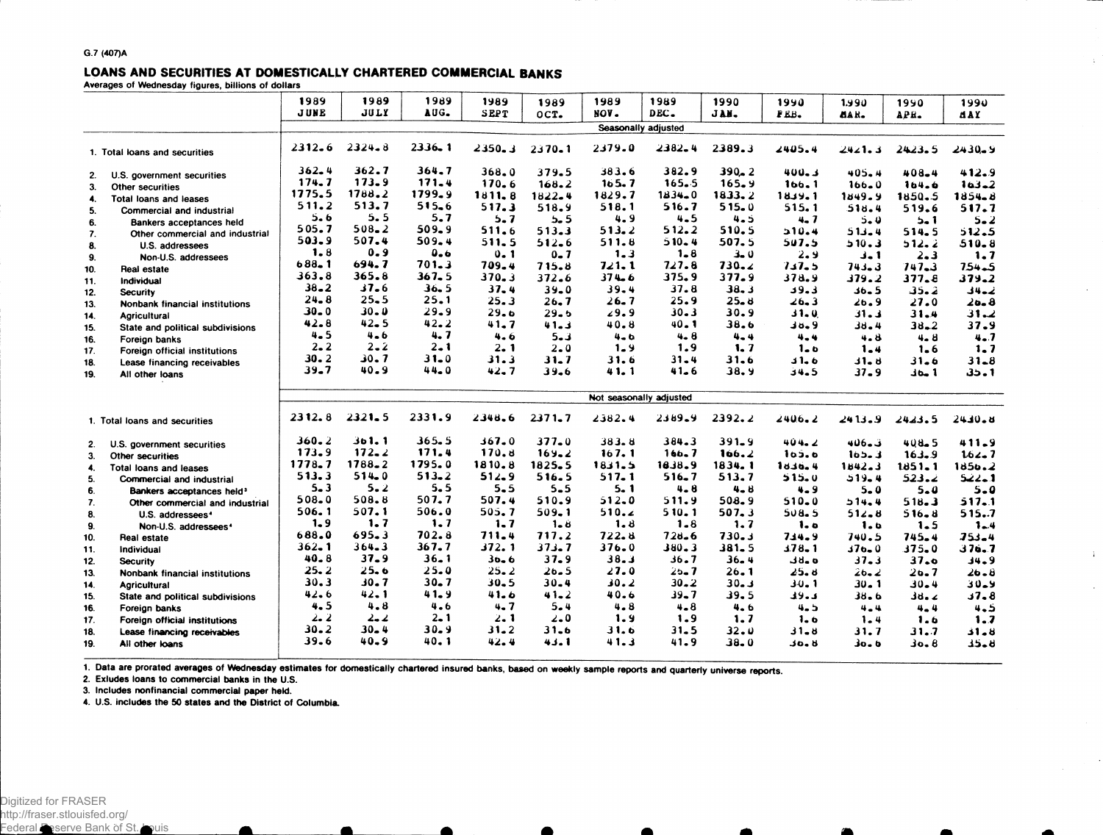## LOANS AND SECURITIES AT DOMESTICALLY CHARTERED COMMERCIAL BANKS

**Averages of Wednesday figures, billions of dollars**

|                               |                                       | 1989                    | 1989       | 1989       | 1989        | 1989       | 1989      | 1989       | 1990      | 1990        | 1.990        | 1990       | 1990       |
|-------------------------------|---------------------------------------|-------------------------|------------|------------|-------------|------------|-----------|------------|-----------|-------------|--------------|------------|------------|
|                               |                                       | <b>JUNE</b>             | JULY       | AUG.       | <b>SEPT</b> | OCT.       | NOV.      | DEC.       | JAN.      | FEB.        | aar.         | APE.       | <b>MAY</b> |
|                               |                                       | Seasonally adjusted     |            |            |             |            |           |            |           |             |              |            |            |
|                               | 1. Total loans and securities         | $2312 - 6$              | $2324 - 8$ | $2336 - 1$ | 2350.3      | $2370 - 1$ | 2379.0    | 2382.4     | 2389.3    | 2405.4      | 2421.3       | 2423.5     | $2430 - 9$ |
| 2.                            | U.S. government securities            | $362 - 4$               | 362.7      | 364.7      | 368.0       | 379.5      | 383.6     | 382.9      | $390 - 2$ | 400.3       | 405.4        | 408.4      | 412.9      |
| 3.                            | <b>Other securities</b>               | 174.7                   | 173.9      | 171.4      | $170 - 6$   | 168.2      | 165.7     | $165 - 5$  | $165 - 9$ | 166.1       | $166 - 0$    | 164.6      | $103 - 2$  |
| 4.                            | Total loans and leases                | 1775.5                  | 1788.2     | 1799.9     | 1811.8      | $1822 - 4$ | 1829.7    | $1834 - 0$ | 1833.2    | 18.39.1     | 1849.9       | 1850.5     | $1854 - 8$ |
| 5.                            | Commercial and industrial             | 511.2                   | 513.7      | 515.6      | 517.3       | 518.9      | 518.1     | 516.7      | 515.0     | 515.1       | 518.4        | 519.6      | 517.7      |
| 6.                            | Bankers acceptances held              | $5 - 6$                 | 5.5        | 5.7        | $5 - 7$     | 5.5        | 4.9       | $4 - 5$    | 4.5       | $4 - 7$     | $5 - 0$      | $5 - 1$    | $5 - 2$    |
| 7.                            | Other commercial and industrial       | 505.7                   | $508 - 2$  | 509.9      | $511 - 6$   | 513.3      | 513.2     | 512.2      | 510.5     | 510.4       | 513.4        | 514.5      | 512.5      |
| 8.                            | U.S. addressees                       | 503.9                   | 507.4      | 509.4      | 511.5       | $512 - 6$  | 511.8     | $510 - 4$  | 507.5     | 507.5       | 510.3        | 512.2      | $510 - 8$  |
| 9.                            | Non-U.S. addressees                   | 1.8                     | 0.9        | 0.6        | $0 - 1$     | $0 - 7$    | 1.3       | 1.8        | $3 - 0$   | 2.9         | $J - 1$      | $2 - 3$    | 1.7        |
| 10.                           | Real estate                           | $688 - 1$               | 694.7      | 701.3      | 709.4       | 715.8      | 721.1     | 727.8      | $730 - 2$ | 7.17.5      | 743.3        | $747 - 3$  | 754.5      |
| 11.                           | Individual                            | 363.8                   | 365.8      | $367 - 5$  | $370 - 3$   | 372.6      | $374 - 6$ | 375.9      | 377.9     | 378.9       | 379.2        | 377.8      | $379 - 2$  |
| 12.                           | <b>Security</b>                       | $38 - 2$                | $37 - 6$   | 36.5       | $37 - 4$    | $39 - 0$   | $39 - 4$  | 37.8       | 38.3      | 39.3        | $36 - 5$     | 35.2       | نمہ 4 ف    |
| 13.                           | Nonbank financial institutions        | $24 - 8$                | $25 - 5$   | 25.1       | 25.3        | 26.7       | 26.7      | 25.9       | $25 - 8$  | ∠6.3        | 26.9         | 27.0       | 26.8       |
| 14.                           | Agricultural                          | $30 - 0$                | $30 - 0$   | 29.9       | 29.6        | 29.5       | 29.9      | 30.3       | 30.9      | 31.0        | $31 - 1$     | 31.4       | 31.2       |
| 15.                           | State and political subdivisions      | 42.8                    | $42 - 5$   | 42.2       | 41.7        | 41.3       | 40.8      | 40.1       | 38.6      | 38.9        | 38.4         | $38 - 2$   | 37.9       |
| 16.                           | Foreign banks                         | $4 - 5$                 | 4.6        | 4.7        | 4.6         | $5 - 3$    | $4 - 6$   | 4.8        | $4 - 4$   | 4.4         | 4.8          | $4 - 8$    | $4 - 7$    |
| 17.                           | Foreign official institutions         | $2 - 2$                 | $2 - 2$    | $2 - 1$    | 2.1         | $2 - 0$    | $1 - 9$   | 1.9        | 1.7       | $1 - 6$     | $1 - 4$      | $1 - 6$    | 1.7        |
| 18.                           | Lease financing receivables           | $30 - 2$                | 30.7       | $31 - 0$   | 31.3        | $31 - 7$   | 31.6      | 31.4       | 31.6      | 31.6        | <b>11.</b> ن | $31 - 6$   | $31 - 8$   |
| 19.                           | All other loans                       | $39-7$                  | 40.9       | $44 - 0$   | 42.7        | 39.6       | 41.1      | $41 - 6$   | 38.9      | 34.5        | $37 - 9$     | 1 مەد      | 35.1       |
|                               |                                       | Not seasonally adjusted |            |            |             |            |           |            |           |             |              |            |            |
| 1. Total loans and securities |                                       | 2312.8                  | $2321 - 5$ | 2331.9     | 2348.6      | $2371 - 7$ | 2382.4    | 2389.9     | 2392.2    | 2406.2      | 2413.9       | 2423.5     | $2430 - 8$ |
| 2.                            | U.S. government securities            | $360 - 2$               | 361.1      | 365.5      | 367.0       | $377 - 0$  | 383.8     | 384.3      | $391 - 9$ | 404.2       | 3.406        | $408 - 5$  | $411 - 9$  |
| 3.                            | Other securities                      | 173.9                   | $172 - 2$  | 171.4      | 170.8       | $169 - 2$  | 167.1     | 166.7      | 166.2     | 105.6       | 103.3        | 163.9      | 162.7      |
| 4.                            | Total loans and leases                | $1778 - 7$              | 1788.2     | 1795.0     | 1810.8      | $1825 - 5$ | 1831.5    | 1838.9     | 1834.1    | 1836.4      | 1842.3       | $1851 - 1$ | 1850.2     |
| 5.                            | Commercial and industrial             | 513.3                   | 514.0      | $513 - 2$  | 512.9       | 516.5      | 517.1     | $516 - 7$  | 513.7     | 515.0       | 519.4        | 523.2      | 1. ـ 22    |
| 6.                            | Bankers acceptances held <sup>3</sup> | $5 - 3$                 | 5.2        | 5.5        | $5-5$       | $5 - 5$    | 5. 1      | 4.8        | 4.8       | $4 - 9$     | $5 - 0$      | $5 - 0$    | $5 - 0$    |
| 7.                            | Other commercial and industrial       | 508.0                   | 508.8      | 507.7      | 507.4       | 510.9      | 512.0     | 511.9      | 508.9     | $510 - 0$   | 514.4        | 518.3      | 517.1      |
| 8.                            | U.S. addressees <sup>4</sup>          | 506.1                   | 507.1      | 506.0      | 505.7       | 509.1      | 510.2     | 510.1      | 507.3     | 508.5       | 512.8        | $516 - 8$  | 515.7      |
| 9.                            | Non-U.S. addressees <sup>4</sup>      | 1.9                     | 1.7        | 1.7        | $1 - 7$     | $1 - 8$    | 1.8       | $1 - 8$    | 1.7       | 1.0         | 1.0          | 1.5        | $1 - 4$    |
| 10.                           | Real estate                           | 688.0                   | 695.3      | 702.8      | 711.4       | 717.2      | 722.8     | $728 - 6$  | 730.3     | 714.9       | 740.5        | $745 - 4$  | $353 - 4$  |
| 11.                           | Individual                            | $362 - 1$               | $364 - 3$  | 367.7      | 372.1       | 373.7      | 376.0     | 380.3      | $381 - 5$ | $378 - 1$   | $376 - 0$    | $375 - 0$  | 376.7      |
| 12.                           | <b>Security</b>                       | 40.8                    | $37 - 9$   | $36 - 1$   | $30 - 6$    | 37.9       | 38.3      | 36.7       | $36 - 4$  | ہ و ل       | $37 - 3$     | 37.0       | $34 - 9$   |
| 13.                           | Nonbank financial institutions        | 25.2                    | 25.6       | 25.0       | $25 - 2$    | $20 - 5$   | 27.0      | 25.7       | 26.1      | 25.8        | $26 - 2$     | 26.7       | 26.8       |
| 14.                           | <b>Agricultural</b>                   | 30.3                    | 30.7       | $30 - 7$   | $30 - 5$    | $30 - 4$   | 30.2      | $30 - 2$   | $30 - 3$  | JU. 1       | $30 - 1$     | $30 - 4$   | لاءلك      |
| 15.                           | State and political subdivisions      | 42.6                    | $42 - 1$   | 41.9       | 41.6        | $41 - 2$   | 40.6      | $39 - 7$   | 39.5      | دءود        | $38 - 6$     | ∡ ہاؤ      | 37.8       |
| 16.                           | Foreign banks                         | 4.5                     | 4.8        | 4.6        | 4.7         | $5 - 4$    | $4 - 8$   | $4 - 8$    | 4.6       | $4 - 5$     | $4 - 4$      | 4.4        | 4.5        |
| 17.                           | Foreign official institutions         | 2.2                     | 2. 2       | $2 - 1$    | 2.1         | $2 - 0$    | 1.9       | 1.9        | 1.7       | 1.6         | $1 - 4$      | 1.6        | 1.7        |
| 18.                           | Lease financing receivables           | $30 - 2$                | $30 - 4$   | $30 - 9$   | $31 - 2$    | 31.6       | 31.6      | $31 - 5$   | 32.0      | 31.8        | 31.7         | 31.7       | 31.8       |
| 19.                           | All other loans                       | 39.6                    | $40 - 9$   | 40.1       | 42.4        | 43.1       | 41.3      | 41.9       | 38.0      | <b>JO.B</b> | 30.0         | 6 ء 10     | كا دلا     |
|                               |                                       |                         |            |            |             |            |           |            |           |             |              |            |            |

 $\sim$ 

 $\sim$ 

 $\cdot$  :

1. Data are prorated averages of Wednesday estimates for domestically chartered insured banks, based on weekly sample reports and quarterly universe reports.

**2. Exludes loans to commercial banks in the U.S.**

**3. Includes nonfinancial commercial paper held.**

**4. U.S. includes the 50 states and the District of Columbia.**

 $\bullet$ 

n.